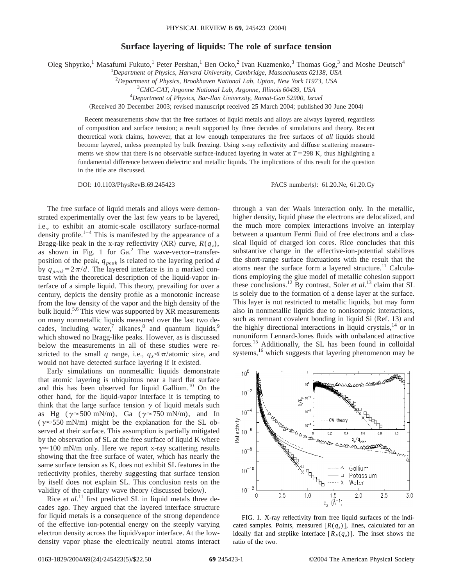## **Surface layering of liquids: The role of surface tension**

Oleg Shpyrko,<sup>1</sup> Masafumi Fukuto,<sup>1</sup> Peter Pershan,<sup>1</sup> Ben Ocko,<sup>2</sup> Ivan Kuzmenko,<sup>3</sup> Thomas Gog,<sup>3</sup> and Moshe Deutsch<sup>4</sup>

1 *Department of Physics, Harvard University, Cambridge, Massachusetts 02138, USA*

2 *Department of Physics, Brookhaven National Lab, Upton, New York 11973, USA*

3 *CMC-CAT, Argonne National Lab, Argonne, Illinois 60439, USA*

4 *Department of Physics, Bar-Ilan University, Ramat-Gan 52900, Israel*

(Received 30 December 2003; revised manuscript received 25 March 2004; published 30 June 2004)

Recent measurements show that the free surfaces of liquid metals and alloys are always layered, regardless of composition and surface tension; a result supported by three decades of simulations and theory. Recent theoretical work claims, however, that at low enough temperatures the free surfaces of *all* liquids should become layered, unless preempted by bulk freezing. Using x-ray reflectivity and diffuse scattering measurements we show that there is no observable surface-induced layering in water at  $T=298$  K, thus highlighting a fundamental difference between dielectric and metallic liquids. The implications of this result for the question in the title are discussed.

DOI: 10.1103/PhysRevB.69.245423 PACS number(s): 61.20.Ne, 61.20.Gy

The free surface of liquid metals and alloys were demonstrated experimentally over the last few years to be layered, i.e., to exhibit an atomic-scale oscillatory surface-normal density profile.<sup>1–4</sup> This is manifested by the appearance of a Bragg-like peak in the x-ray reflectivity  $(XR)$  curve,  $R(q_z)$ , as shown in Fig. 1 for  $Ga<sup>2</sup>$  The wave-vector–transferposition of the peak, *qpeak* is related to the layering period *d* by  $q_{peak}=2\pi/d$ . The layered interface is in a marked contrast with the theoretical description of the liquid-vapor interface of a simple liquid. This theory, prevailing for over a century, depicts the density profile as a monotonic increase from the low density of the vapor and the high density of the bulk liquid.<sup>5,6</sup> This view was supported by XR measurements on many nonmetallic liquids measured over the last two decades, including water,<sup>7</sup> alkanes, $8$  and quantum liquids, $9$ which showed no Bragg-like peaks. However, as is discussed below the measurements in all of these studies were restricted to the small *q* range, i.e.,  $q_z \ll \pi/\text{atomic size}$ , and would not have detected surface layering if it existed.

Early simulations on nonmetallic liquids demonstrate that atomic layering is ubiquitous near a hard flat surface and this has been observed for liquid Gallium.<sup>10</sup> On the other hand, for the liquid-vapor interface it is tempting to think that the large surface tension  $\gamma$  of liquid metals such as Hg ( $\gamma \approx 500$  mN/m), Ga ( $\gamma \approx 750$  mN/m), and In ( $\gamma \approx 550$  mN/m) might be the explanation for the SL observed at their surface. This assumption is partially mitigated by the observation of SL at the free surface of liquid K where  $\gamma \approx 100$  mN/m only. Here we report x-ray scattering results showing that the free surface of water, which has nearly the same surface tension as K, does not exhibit SL features in the reflectivity profiles, thereby suggesting that surface tension by itself does not explain SL. This conclusion rests on the validity of the capillary wave theory (discussed below).

Rice *et al.*<sup>11</sup> first predicted SL in liquid metals three decades ago. They argued that the layered interface structure for liquid metals is a consequence of the strong dependence of the effective ion-potential energy on the steeply varying electron density across the liquid/vapor interface. At the lowdensity vapor phase the electrically neutral atoms interact through a van der Waals interaction only. In the metallic, higher density, liquid phase the electrons are delocalized, and the much more complex interactions involve an interplay between a quantum Fermi fluid of free electrons and a classical liquid of charged ion cores. Rice concludes that this substantive change in the effective-ion-potential stabilizes the short-range surface fluctuations with the result that the atoms near the surface form a layered structure.<sup>11</sup> Calculations employing the glue model of metallic cohesion support these conclusions.12 By contrast, Soler *et al.*<sup>13</sup> claim that SL is solely due to the formation of a dense layer at the surface. This layer is not restricted to metallic liquids, but may form also in nonmetallic liquids due to nonisotropic interactions, such as remnant covalent bonding in liquid Si (Ref. 13) and the highly directional interactions in liquid crystals, $^{14}$  or in nonuniform Lennard-Jones fluids with unbalanced attractive forces.15 Additionally, the SL has been found in colloidal systems,<sup>16</sup> which suggests that layering phenomenon may be



FIG. 1. X-ray reflectivity from free liquid surfaces of the indicated samples. Points, measured  $[R(q_z)]$ , lines, calculated for an ideally flat and steplike interface  $[R_F(q_z)]$ . The inset shows the ratio of the two.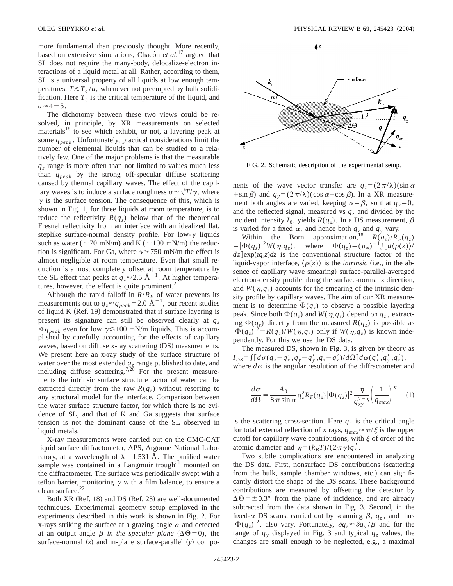more fundamental than previously thought. More recently, based on extensive simulations, Chacon *et al.*<sup>17</sup> argued that SL does not require the many-body, delocalize-electron interactions of a liquid metal at all. Rather, according to them, SL is a universal property of all liquids at low enough temperatures,  $T \leq T_c / a$ , whenever not preempted by bulk solidification. Here  $T_c$  is the critical temperature of the liquid, and  $a \approx 4-5$ .

The dichotomy between these two views could be resolved, in principle, by XR measurements on selected materials<sup>18</sup> to see which exhibit, or not, a layering peak at some  $q_{peak}$ . Unfortunately, practical considerations limit the number of elemental liquids that can be studied to a relatively few. One of the major problems is that the measurable *qz* range is more often than not limited to values much less than *qpeak* by the strong off-specular diffuse scattering caused by thermal capillary waves. The effect of the capillary waves is to induce a surface roughness  $\sigma \sim \sqrt{T/\gamma}$ , where  $\gamma$  is the surface tension. The consequence of this, which is shown in Fig. 1, for three liquids at room temperature, is to reduce the reflectivity  $R(q_z)$  below that of the theoretical Fresnel reflectivity from an interface with an idealized flat, steplike surface-normal density profile. For low- $\gamma$  liquids such as water ( $\sim$ 70 mN/m) and K ( $\sim$ 100 mN/m) the reduction is significant. For Ga, where  $\gamma \approx 750$  mN/m the effect is almost negligible at room temperature. Even that small reduction is almost completely offset at room temperature by the SL effect that peaks at  $q_z \approx 2.5 \text{ Å}^{-1}$ . At higher temperatures, however, the effect is quite prominent.<sup>2</sup>

Although the rapid falloff in  $R/R<sub>F</sub>$  of water prevents its measurements out to  $q_z \approx q_{peak} = 2.0 \text{ Å}^{-1}$ , our recent studies of liquid K  $(Ref. 19)$  demonstrated that if surface layering is present its signature can still be observed clearly at *qz*  $\leq q_{peak}$  even for low  $\gamma \leq 100$  mN/m liquids. This is accomplished by carefully accounting for the effects of capillary waves, based on diffuse x-ray scattering (DS) measurements. We present here an x-ray study of the surface structure of water over the most extended  $q<sub>z</sub>$  range published to date, and including diffuse scattering.<sup>7,20</sup> For the present measurements the intrinsic surface structure factor of water can be extracted directly from the raw  $R(q_z)$  without resorting to any structural model for the interface. Comparison between the water surface structure factor, for which there is no evidence of SL, and that of K and Ga suggests that surface tension is not the dominant cause of the SL observed in liquid metals.

X-ray measurements were carried out on the CMC-CAT liquid surface diffractometer, APS, Argonne National Laboratory, at a wavelength of  $\lambda = 1.531$  Å. The purified water sample was contained in a Langmuir trough<sup>21</sup> mounted on the diffractometer. The surface was periodically swept with a teflon barrier, monitoring  $\gamma$  with a film balance, to ensure a clean surface. $22$ 

Both XR (Ref. 18) and DS (Ref. 23) are well-documented techniques. Experimental geometry setup employed in the experiments described in this work is shown in Fig. 2. For x-rays striking the surface at a grazing angle  $\alpha$  and detected at an output angle  $\beta$  *in the specular plane* ( $\Delta\Theta$ =0), the surface-normal  $(z)$  and in-plane surface-parallel  $(y)$  compo-



FIG. 2. Schematic description of the experimental setup.

nents of the wave vector transfer are  $q_z = (2\pi/\lambda)(\sin \alpha)$ +sin  $\beta$ ) and  $q_y = (2\pi/\lambda)(\cos \alpha - \cos \beta)$ . In a XR measurement both angles are varied, keeping  $\alpha = \beta$ , so that  $q_y = 0$ , and the reflected signal, measured vs  $q<sub>z</sub>$  and divided by the incident intensity  $I_0$ , yields  $R(q_z)$ . In a DS measurement,  $\beta$ is varied for a fixed  $\alpha$ , and hence both  $q_z$  and  $q_y$  vary.

Within the Born approximation,<sup>18</sup>  $R(q_z)/R_F(q_z)$  $= |\Phi(q_z)|^2 W(\eta, q_z), \text{ where } \Phi(q_z) = (\rho_\infty)^{-1} \int \int d\langle \rho(z) \rangle^2 d\langle \rho(z) \rangle^2 d\langle \rho(z) \rangle^2 d\langle \rho(z) \rangle^2 d\langle \rho(z) \rangle^2 d\langle \rho(z) \rangle^2 d\langle \rho(z) \rangle^2 d\langle \rho(z) \rangle^2 d\langle \rho(z) \rangle^2 d\langle \rho(z) \rangle^2 d\langle \rho(z) \rangle^2 d\langle \rho(z) \rangle^2 d\langle \rho(z) \rangle^2 d\langle \rho(z) \rangle^2 d\langle \rho(z) \rangle^2 d\langle \rho(z) \rangle^2 d\langle \rho$  $dz$  exp( $u<sub>z</sub>z$ ) $dz$  is the conventional structure factor of the liquid-vapor interface,  $\langle \rho(z) \rangle$  is the *intrinsic* (i.e., in the absence of capillary wave smearing) surface-parallel-averaged electron-density profile along the surface-normal *z* direction, and  $W(\eta, q_z)$  accounts for the smearing of the intrinsic density profile by capillary waves. The aim of our XR measurement is to determine  $\Phi(q_z)$  to observe a possible layering peak. Since both  $\Phi(q_z)$  and  $W(\eta, q_z)$  depend on  $q_z$ , extracting  $\Phi(q_z)$  directly from the measured  $R(q_z)$  is possible as  $|\Phi(q_z)|^2 = R(q_z)/W(\eta, q_z)$  only if  $W(\eta, q_z)$  is known independently. For this we use the DS data.

The measured DS, shown in Fig. 3, is given by theory as  $I_{DS} = \int [d\sigma(q_x - q'_x, q_y - q'_y, q_z - q'_z)/d\Omega] d\omega(q'_x, q'_y, q'_z),$ where  $d\omega$  is the angular resolution of the diffractometer and

$$
\frac{d\sigma}{d\Omega} = \frac{A_0}{8\pi \sin \alpha} q_z^2 R_F(q_z) |\Phi(q_z)|^2 \frac{\eta}{q_{xy}^{2-\eta}} \left(\frac{1}{q_{max}}\right)^{\eta} \tag{1}
$$

is the scattering cross-section. Here  $q_c$  is the critical angle for total external reflection of x rays,  $q_{max} \approx \pi/\xi$  is the upper cutoff for capillary wave contributions, with  $\xi$  of order of the atomic diameter and  $\eta = (k_B T)/(2 \pi \gamma) q_z^2$ .

Two subtle complications are encountered in analyzing the DS data. First, nonsurface DS contributions (scattering from the bulk, sample chamber windows, etc.) can significantly distort the shape of the DS scans. These background contributions are measured by offsetting the detector by  $\Delta\Theta = \pm 0.3^{\circ}$  from the plane of incidence, and are already subtracted from the data shown in Fig. 3. Second, in the fixed- $\alpha$  DS scans, carried out by scanning  $\beta$ ,  $q_z$ , and thus  $|\Phi(q_z)|^2$ , also vary. Fortunately,  $\delta q_z \approx \delta q_y / \beta$  and for the range of  $q<sub>y</sub>$  displayed in Fig. 3 and typical  $q<sub>z</sub>$  values, the changes are small enough to be neglected, e.g., a maximal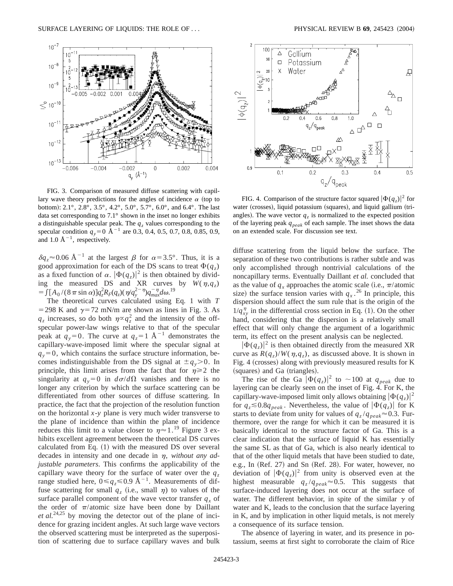

FIG. 3. Comparison of measured diffuse scattering with capillary wave theory predictions for the angles of incidence  $\alpha$  (top to bottom): 2.1°, 2.8°, 3.5°, 4.2°, 5.0°, 5.7°, 6.0°, and 6.4°. The last data set corresponding to 7.1° shown in the inset no longer exhibits a distinguishable specular peak. The  $q<sub>z</sub>$  values corresponding to the specular condition  $q_y=0$  Å<sup>-1</sup> are 0.3, 0.4, 0.5, 0.7, 0.8, 0.85, 0.9, and 1.0  $\AA^{-1}$ , respectively.

 $\delta q_z \approx 0.06 \text{ Å}^{-1}$  at the largest  $\beta$  for  $\alpha = 3.5^{\circ}$ . Thus, it is a good approximation for each of the DS scans to treat  $\Phi(q_z)$ as a fixed function of  $\alpha$ .  $|\Phi(q_z)|^2$  is then obtained by dividing the measured DS and XR curves by  $W(\eta, q_z)$  $=\int [A_0/(8\,\pi\sin\alpha)] q_z^2 R_F(q_z) (\eta/q_y^{2-\eta}) q_{max}^{-\eta} d\omega^{19}$ 

The theoretical curves calculated using Eq. 1 with *T* = 298 K and  $\gamma$ =72 mN/m are shown as lines in Fig. 3. As  $q_z$  increases, so do both  $\eta \propto q_z^2$  and the intensity of the offspecular power-law wings relative to that of the specular peak at  $q_y=0$ . The curve at  $q_z=1$  Å<sup>-1</sup> demonstrates the capillary-wave-imposed limit where the specular signal at  $q_y=0$ , which contains the surface structure information, becomes indistinguishable from the DS signal at  $\pm q_y > 0$ . In principle, this limit arises from the fact that for  $\eta \geq 2$  the singularity at  $q_y=0$  in  $d\sigma/d\Omega$  vanishes and there is no longer any criterion by which the surface scattering can be differentiated from other sources of diffuse scattering. In practice, the fact that the projection of the resolution function on the horizontal *x*-*y* plane is very much wider transverse to the plane of incidence than within the plane of incidence reduces this limit to a value closer to  $\eta \approx 1$ .<sup>19</sup> Figure 3 exhibits excellent agreement between the theoretical DS curves calculated from Eq.  $(1)$  with the measured DS over several decades in intensity and one decade in  $\eta$ , *without any adjustable parameters*. This confirms the applicability of the capillary wave theory for the surface of water over the  $q_z$ range studied here,  $0 \leq q_{z} \leq 0.9$  Å<sup>-1</sup>. Measurements of diffuse scattering for small  $q_z$  (i.e., small  $\eta$ ) to values of the surface parallel component of the wave vector transfer  $q<sub>x</sub>$  of the order of  $\pi$ /atomic size have been done by Daillant *et al.*24,25 by moving the detector out of the plane of incidence for grazing incident angles. At such large wave vectors the observed scattering must be interpreted as the superposition of scattering due to surface capillary waves and bulk



FIG. 4. Comparison of the structure factor squared  $|\Phi(q_z)|^2$  for water (crosses), liquid potassium (squares), and liquid gallium (triangles). The wave vector  $q<sub>z</sub>$  is normalized to the expected position of the layering peak *qpeak* of each sample. The inset shows the data on an extended scale. For discussion see text.

diffuse scattering from the liquid below the surface. The separation of these two contributions is rather subtle and was only accomplished through nontrivial calculations of the noncapillary terms. Eventually Daillant *et al.* concluded that as the value of  $q_x$  approaches the atomic scale (i.e.,  $\pi$ /atomic size) the surface tension varies with  $q_x$ .<sup>26</sup> In principle, this dispersion should affect the sum rule that is the origin of the  $1/q_{xy}^{\eta}$  in the differential cross section in Eq. (1). On the other hand, considering that the dispersion is a relatively small effect that will only change the argument of a logarithmic term, its effect on the present analysis can be neglected.

 $|\Phi(q_z)|^2$  is then obtained directly from the measured XR curve as  $R(q_z)/W(\eta, q_z)$ , as discussed above. It is shown in Fig. 4 (crosses) along with previously measured results for K (squares) and Ga (triangles).

The rise of the Ga  $|\Phi(q_z)|^2$  to  $\sim$ 100 at  $q_{peak}$  due to layering can be clearly seen on the inset of Fig. 4. For K, the capillary-wave-imposed limit only allows obtaining  $|\Phi(q_z)|^2$ for  $q_z \leq 0.8q_{peak}$ . Nevertheless, the value of  $|\Phi(q_z)|$  for K starts to deviate from unity for values of  $q_z/q_{peak} \approx 0.3$ . Furthermore, over the range for which it can be measured it is basically identical to the structure factor of Ga. This is a clear indication that the surface of liquid K has essentially the same SL as that of Ga, which is also nearly identical to that of the other liquid metals that have been studied to date, e.g., In  $(Ref. 27)$  and Sn  $(Ref. 28)$ . For water, however, no deviation of  $|\Phi(q_z)|^2$  from unity is observed even at the highest measurable  $q_z/q_{peak} \approx 0.5$ . This suggests that surface-induced layering does not occur at the surface of water. The different behavior, in spite of the similar  $\gamma$  of water and K, leads to the conclusion that the surface layering in K, and by implication in other liquid metals, is not merely a consequence of its surface tension.

The absence of layering in water, and its presence in potassium, seems at first sight to corroborate the claim of Rice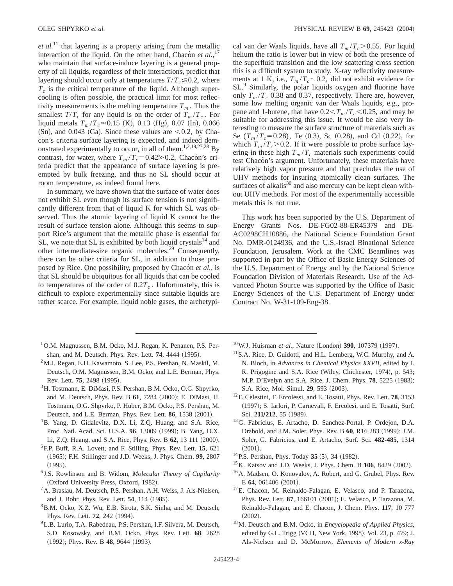*et al.*<sup>11</sup> that layering is a property arising from the metallic interaction of the liquid. On the other hand, Chacon *et al.*,<sup>17</sup> who maintain that surface-induce layering is a general property of all liquids, regardless of their interactions, predict that layering should occur only at temperatures  $T/T_c \le 0.2$ , where  $T_c$  is the critical temperature of the liquid. Although supercooling is often possible, the practical limit for most reflectivity measurements is the melting temperature  $T_m$ . Thus the smallest  $T/T_c$  for any liquid is on the order of  $T_m/T_c$ . For liquid metals  $T_m / T_c \approx 0.15$  (K), 0.13 (Hg), 0.07 (In), 0.066  $(Sn)$ , and 0.043  $(Ga)$ . Since these values are  $< 0.2$ , by Chacon's criteria surface layering is expected, and indeed demonstrated experimentally to occur, in all of them.<sup>1,2,19,27,28</sup> By contrast, for water, where  $T_m/T_c = 0.42 \gg 0.2$ , Chacón's criteria predict that the appearance of surface layering is preempted by bulk freezing, and thus no SL should occur at room temperature, as indeed found here.

In summary, we have shown that the surface of water does not exhibit SL even though its surface tension is not significantly different from that of liquid K for which SL was observed. Thus the atomic layering of liquid K cannot be the result of surface tension alone. Although this seems to support Rice's argument that the metallic phase is essential for  $SL$ , we note that  $SL$  is exhibited by both liquid crystals<sup>14</sup> and other intermediate-size organic molecules.<sup>29</sup> Consequently, there can be other criteria for SL, in addition to those proposed by Rice. One possibility, proposed by Chacon *et al.*, is that SL should be ubiquitous for all liquids that can be cooled to temperatures of the order of  $0.2T_c$ . Unfortunately, this is difficult to explore experimentally since suitable liquids are rather scarce. For example, liquid noble gases, the archetypical van der Waals liquids, have all  $T_m/T_c$  > 0.55. For liquid helium the ratio is lower but in view of both the presence of the superfluid transition and the low scattering cross section this is a difficult system to study. X-ray reflectivity measurements at 1 K, i.e.,  $T_m/T_c \sim 0.2$ , did not exhibit evidence for SL.<sup>9</sup> Similarly, the polar liquids oxygen and fluorine have only  $T_m/T_c$  0.38 and 0.37, respectively. There are, however, some low melting organic van der Waals liquids, e.g., propane and 1-butene, that have  $0.2 < T<sub>m</sub>/T<sub>c</sub> < 0.25$ , and may be suitable for addressing this issue. It would be also very interesting to measure the surface structure of materials such as Se  $(T_m/T_c=0.28)$ , Te  $(0.3)$ , Sc  $(0.28)$ , and Cd  $(0.22)$ , for which  $T_m/T_c$  > 0.2. If it were possible to probe surface layering in these high  $T_m/T_c$  materials such experiments could test Chacón's argument. Unfortunately, these materials have relatively high vapor pressure and that precludes the use of UHV methods for insuring atomically clean surfaces. The surfaces of alkalis $30$  and also mercury can be kept clean without UHV methods. For most of the experimentally accessible metals this is not true.

This work has been supported by the U.S. Department of Energy Grants Nos. DE-FG02-88-ER45379 and DE-AC0298CH10886, the National Science Foundation Grant No. DMR-0124936, and the U.S.-Israel Binational Science Foundation, Jerusalem. Work at the CMC Beamlines was supported in part by the Office of Basic Energy Sciences of the U.S. Department of Energy and by the National Science Foundation Division of Materials Research. Use of the Advanced Photon Source was supported by the Office of Basic Energy Sciences of the U.S. Department of Energy under Contract No. W-31-109-Eng-38.

- <sup>1</sup>O.M. Magnussen, B.M. Ocko, M.J. Regan, K. Penanen, P.S. Pershan, and M. Deutsch, Phys. Rev. Lett. **74**, 4444 (1995).
- $2<sup>2</sup>$ M.J. Regan, E.H. Kawamoto, S. Lee, P.S. Pershan, N. Maskil, M. Deutsch, O.M. Magnussen, B.M. Ocko, and L.E. Berman, Phys. Rev. Lett. **75**, 2498 (1995).
- 3H. Tostmann, E. DiMasi, P.S. Pershan, B.M. Ocko, O.G. Shpyrko, and M. Deutsch, Phys. Rev. B 61, 7284 (2000); E. DiMasi, H. Tostmann, O.G. Shpyrko, P. Huber, B.M. Ocko, P.S. Pershan, M. Deutsch, and L.E. Berman, Phys. Rev. Lett. **86**, 1538 (2001).
- <sup>4</sup>B. Yang, D. Gidalevitz, D.X. Li, Z.Q. Huang, and S.A. Rice, Proc. Natl. Acad. Sci. U.S.A. 96, 13009 (1999); B. Yang, D.X. Li, Z.Q. Huang, and S.A. Rice, Phys. Rev. B 62, 13 111 (2000).
- 5F.P. Buff, R.A. Lovett, and F. Stilling, Phys. Rev. Lett. **15**, 621 ~1965!; F.H. Stillinger and J.D. Weeks, J. Phys. Chem. **99**, 2807  $(1995).$
- <sup>6</sup> J.S. Rowlinson and B. Widom, *Molecular Theory of Capilarity* (Oxford University Press, Oxford, 1982).
- 7A. Braslau, M. Deutsch, P.S. Pershan, A.H. Weiss, J. Als-Nielsen, and J. Bohr, Phys. Rev. Lett. **54**, 114 (1985).
- 8B.M. Ocko, X.Z. Wu, E.B. Sirota, S.K. Sinha, and M. Deutsch, Phys. Rev. Lett. **72**, 242 (1994).
- 9L.B. Lurio, T.A. Rabedeau, P.S. Pershan, I.F. Silvera, M. Deutsch, S.D. Kosowsky, and B.M. Ocko, Phys. Rev. Lett. **68**, 2628 (1992); Phys. Rev. B 48, 9644 (1993).
- $10$ W.J. Huisman *et al.*, Nature (London) **390**, 107379 (1997).
- <sup>11</sup> S.A. Rice, D. Guidotti, and H.L. Lemberg, W.C. Murphy, and A. N. Bloch, in *Advances in Chemical Physics XXVII*, edited by I. R. Prigogine and S.A. Rice (Wiley, Chichester, 1974), p. 543; M.P. D'Evelyn and S.A. Rice, J. Chem. Phys. **78**, 5225 (1983); S.A. Rice, Mol. Simul. **29**, 593 (2003).
- 12F. Celestini, F. Ercolessi, and E. Tosatti, Phys. Rev. Lett. **78**, 3153 (1997); S. Iarlori, P. Carnevali, F. Ercolesi, and E. Tosatti, Surf. Sci. 211/212, 55 (1989).
- 13G. Fabricius, E. Artacho, D. Sanchez-Portal, P. Ordejon, D.A. Drabold, and J.M. Soler, Phys. Rev. B 60, R16 283 (1999); J.M. Soler, G. Fabricius, and E. Artacho, Surf. Sci. **482-485**, 1314  $(2001).$
- $14$  P.S. Pershan, Phys. Today 35 (5), 34 (1982).
- <sup>15</sup>K. Katsov and J.D. Weeks, J. Phys. Chem. B **106**, 8429 (2002).
- <sup>16</sup>A. Madsen, O. Konovalov, A. Robert, and G. Grubel, Phys. Rev. E 64, 061406 (2001).
- 17E. Chacon, M. Reinaldo-Falagan, E. Velasco, and P. Tarazona, Phys. Rev. Lett. 87, 166101 (2001); E. Velasco, P. Tarazona, M. Reinaldo-Falagan, and E. Chacon, J. Chem. Phys. **117**, 10 777  $(2002).$
- 18M. Deutsch and B.M. Ocko, in *Encyclopedia of Applied Physics*, edited by G.L. Trigg (VCH, New York, 1998), Vol. 23, p. 479; J. Als-Nielsen and D. McMorrow, *Elements of Modern x-Ray*